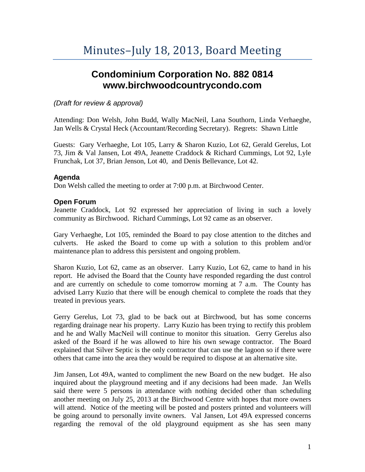# **Condominium Corporation No. 882 0814 www.birchwoodcountrycondo.com**

## *(Draft for review & approval)*

Attending: Don Welsh, John Budd, Wally MacNeil, Lana Southorn, Linda Verhaeghe, Jan Wells & Crystal Heck (Accountant/Recording Secretary). Regrets: Shawn Little

Guests: Gary Verhaeghe, Lot 105, Larry & Sharon Kuzio, Lot 62, Gerald Gerelus, Lot 73, Jim & Val Jansen, Lot 49A, Jeanette Craddock & Richard Cummings, Lot 92, Lyle Frunchak, Lot 37, Brian Jenson, Lot 40, and Denis Bellevance, Lot 42.

#### **Agenda**

Don Welsh called the meeting to order at 7:00 p.m. at Birchwood Center.

### **Open Forum**

Jeanette Craddock, Lot 92 expressed her appreciation of living in such a lovely community as Birchwood. Richard Cummings, Lot 92 came as an observer.

Gary Verhaeghe, Lot 105, reminded the Board to pay close attention to the ditches and culverts. He asked the Board to come up with a solution to this problem and/or maintenance plan to address this persistent and ongoing problem.

Sharon Kuzio, Lot 62, came as an observer. Larry Kuzio, Lot 62, came to hand in his report. He advised the Board that the County have responded regarding the dust control and are currently on schedule to come tomorrow morning at 7 a.m. The County has advised Larry Kuzio that there will be enough chemical to complete the roads that they treated in previous years.

Gerry Gerelus, Lot 73, glad to be back out at Birchwood, but has some concerns regarding drainage near his property. Larry Kuzio has been trying to rectify this problem and he and Wally MacNeil will continue to monitor this situation. Gerry Gerelus also asked of the Board if he was allowed to hire his own sewage contractor. The Board explained that Silver Septic is the only contractor that can use the lagoon so if there were others that came into the area they would be required to dispose at an alternative site.

Jim Jansen, Lot 49A, wanted to compliment the new Board on the new budget. He also inquired about the playground meeting and if any decisions had been made. Jan Wells said there were 5 persons in attendance with nothing decided other than scheduling another meeting on July 25, 2013 at the Birchwood Centre with hopes that more owners will attend. Notice of the meeting will be posted and posters printed and volunteers will be going around to personally invite owners. Val Jansen, Lot 49A expressed concerns regarding the removal of the old playground equipment as she has seen many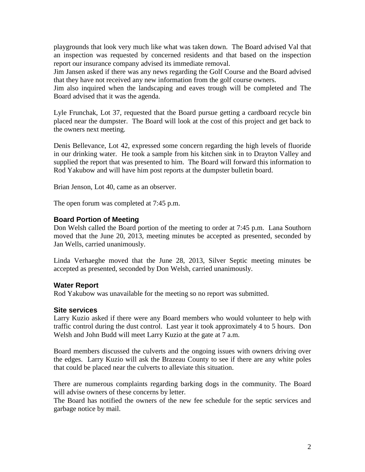playgrounds that look very much like what was taken down. The Board advised Val that an inspection was requested by concerned residents and that based on the inspection report our insurance company advised its immediate removal.

Jim Jansen asked if there was any news regarding the Golf Course and the Board advised that they have not received any new information from the golf course owners.

Jim also inquired when the landscaping and eaves trough will be completed and The Board advised that it was the agenda.

Lyle Frunchak, Lot 37, requested that the Board pursue getting a cardboard recycle bin placed near the dumpster. The Board will look at the cost of this project and get back to the owners next meeting.

Denis Bellevance, Lot 42, expressed some concern regarding the high levels of fluoride in our drinking water. He took a sample from his kitchen sink in to Drayton Valley and supplied the report that was presented to him. The Board will forward this information to Rod Yakubow and will have him post reports at the dumpster bulletin board.

Brian Jenson, Lot 40, came as an observer.

The open forum was completed at 7:45 p.m.

#### **Board Portion of Meeting**

Don Welsh called the Board portion of the meeting to order at 7:45 p.m. Lana Southorn moved that the June 20, 2013, meeting minutes be accepted as presented, seconded by Jan Wells, carried unanimously.

Linda Verhaeghe moved that the June 28, 2013, Silver Septic meeting minutes be accepted as presented, seconded by Don Welsh, carried unanimously.

#### **Water Report**

Rod Yakubow was unavailable for the meeting so no report was submitted.

#### **Site services**

Larry Kuzio asked if there were any Board members who would volunteer to help with traffic control during the dust control. Last year it took approximately 4 to 5 hours. Don Welsh and John Budd will meet Larry Kuzio at the gate at 7 a.m.

Board members discussed the culverts and the ongoing issues with owners driving over the edges. Larry Kuzio will ask the Brazeau County to see if there are any white poles that could be placed near the culverts to alleviate this situation.

There are numerous complaints regarding barking dogs in the community. The Board will advise owners of these concerns by letter.

The Board has notified the owners of the new fee schedule for the septic services and garbage notice by mail.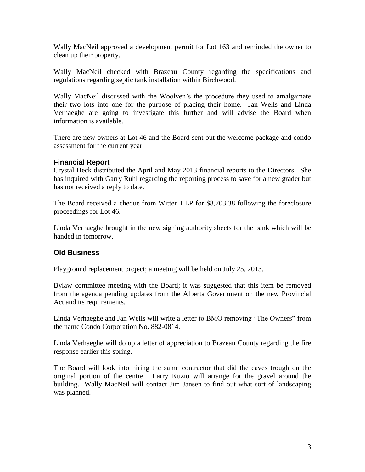Wally MacNeil approved a development permit for Lot 163 and reminded the owner to clean up their property.

Wally MacNeil checked with Brazeau County regarding the specifications and regulations regarding septic tank installation within Birchwood.

Wally MacNeil discussed with the Woolven's the procedure they used to amalgamate their two lots into one for the purpose of placing their home. Jan Wells and Linda Verhaeghe are going to investigate this further and will advise the Board when information is available.

There are new owners at Lot 46 and the Board sent out the welcome package and condo assessment for the current year.

## **Financial Report**

Crystal Heck distributed the April and May 2013 financial reports to the Directors. She has inquired with Garry Ruhl regarding the reporting process to save for a new grader but has not received a reply to date.

The Board received a cheque from Witten LLP for \$8,703.38 following the foreclosure proceedings for Lot 46.

Linda Verhaeghe brought in the new signing authority sheets for the bank which will be handed in tomorrow.

# **Old Business**

Playground replacement project; a meeting will be held on July 25, 2013.

Bylaw committee meeting with the Board; it was suggested that this item be removed from the agenda pending updates from the Alberta Government on the new Provincial Act and its requirements.

Linda Verhaeghe and Jan Wells will write a letter to BMO removing "The Owners" from the name Condo Corporation No. 882-0814.

Linda Verhaeghe will do up a letter of appreciation to Brazeau County regarding the fire response earlier this spring.

The Board will look into hiring the same contractor that did the eaves trough on the original portion of the centre. Larry Kuzio will arrange for the gravel around the building. Wally MacNeil will contact Jim Jansen to find out what sort of landscaping was planned.